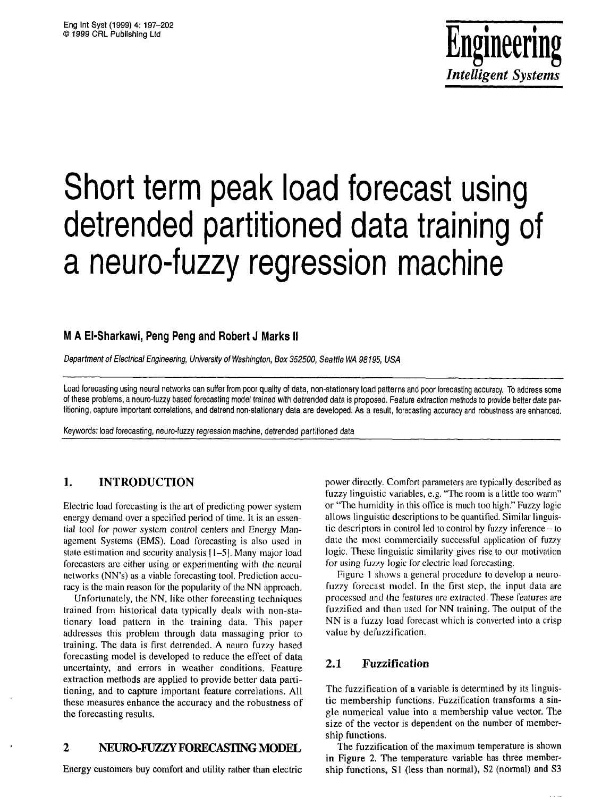

# Short term peak load forecast using detrended partitioned data training of a neuro-fuzzy regression machine

# **M A El-Sharkawi, Peng Peng and Robert J Marks** II

Department of Electrical Engineering, University of Washington, Box 352500, Seattle WA 98195, USA

Load forecasting using neural networks can suffer from poor quality of data, non-stationary load patterns and poor forecasting accuracy. To address some of these problems, a neuro-fuzzy based forecasting model trained with detrended data is proposed. Feature extraction methods to provide better data partitioning, capture important correlations, and detrend non-stationary data are developed. As a result, forecasting accuracy and robustness are enhanced.

Keywords: load forecasting, neuro-fuzzy regression machine, detrended partitioned data

# **1. INTRODUCTION**

Electric load forecasting is the art of predicting power system energy demand over a specified period of time. It is an essential tool for power system control centers and Energy Management Systems (EMS), Load forecasting is also used in state estimation and security analysis 11-51. Many major load forecasters are either using or experimenting with the neural networks (NN's) as a viable forecasting tool. Prediction accuracy is the main reason for the popularity of the NN approach.

Unfortunately, the NN, like other forecasting techniques trained from historical data typically deals with non-stationary load pattern in the training data. This papcr addresses this problem through data massaging prior to training. The data is first detrended. A neuro fuzzy based forecasting model is developed to reduce the effect of data uncertainty, and errors in weather conditions. Feature extraction methods are applied to provide better data partitioning, and to capture important feature correlations. All these measures enhance the accuracy and the robustness of the forecasting results.

# **2** NEURO-FUZZY **FORECASTING MODEL,**

Energy customers buy comfort and utility rather than electric

power directly. Comfort parameters are typically described as fuzzy linguistic variables, e.g. "The room is a little too warm" or "The humidity in this office is much too high." Fuzzy logic allows linguistic descriptions to be quantified. Similar linguistic descriptors in control led to control by fuzzy inference  $-$  to date the most commercially successful application of fuzzy logic. These linguistic similarity gives rise to our motivation for using fuzzy logic for electric load forecasting.

Figure 1 shows a general procedure to develop a neurofuzzy forecast model. In the first step, the input data are processed and the features are extracted. These features are fuzzificd and then used for NN training. The output of the NN is a fuzzy load forecast which is converted into a crisp value by defuzzification.

# **2.1 Fuzzification**

The fuzzification of a variable is determined by its linguistic membership functions. Fuzzification transforms a single numerical value into a membership value vector. The size of the vector is dependent on the number of membership functions.

The fuzzification of the maximum temperature is shown in Figure **2.** The temperature variable has three membership functions, **S1** (less than normal), **S2** (normal) and **S3**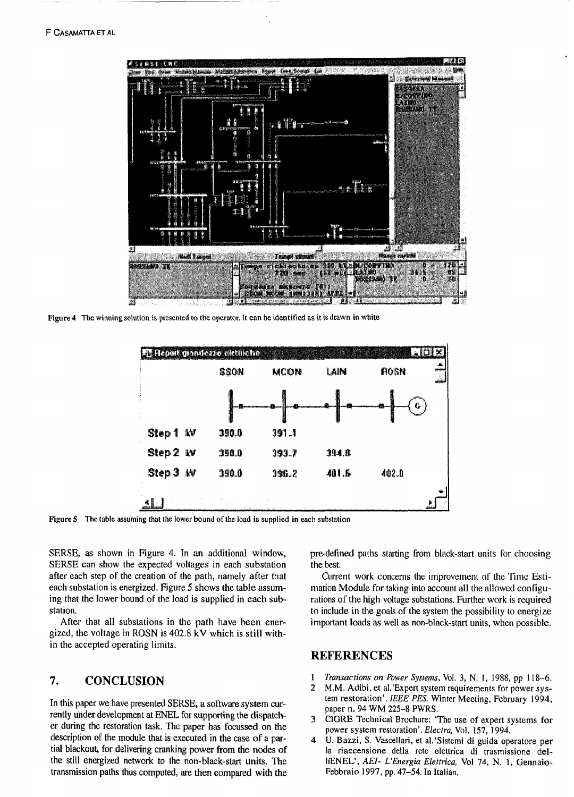

Figure 4 The winning solution is presented to the operator. It can be identified as it is drawn in white



**Figure 5 The table assuming that the lower bound of the load is supplied in each substation** 

SERSE, as shown in Figure 4. In an additional window, SERSE can show the expected voltages in each substation after each step of the creation of the path, namely after that each substation is energized. Figure 5 shows the table assuming that the lower bound of the load is supplied in each substation.

After that all substations in the path have been energized, the voltage in ROSN is 402.8 **kV** which is still within the accepted operating limits.

# **7. CONCLUSION**

rently under development at ENEL for supporting the dispatch-<br>
er during the restoration task. The paper has focussed on the<br>
<sup>3</sup> CIGRE Technical Brochure: 'The use of expert systems for<br>
power system restoration'. Electra er during the restoration task. The paper has focussed on the description of the module that is executed in the case of a pardescription of the module that is executed in the case of a par-<br>tial blackout, for delivering cranking power from the nodes of<br>the still energized network to the non-black-start units. The liENEL', AEI- L'Energia Elettric the still energized network to the non-black-start units. The transmission paths **thus** computed, are then compared with the Febbraio 1997, pp. 47-54. In Italian.

pre-delined paths starting from black-start units for choosing the best.

Current work concerns the improvement of the Time Estimation Module for taking into account all the allowcd configurations of the high voltage substations. Further work is required to include in the goals of the system the possibility to cnergize important loads as well as non-black-start units, when possible.

## **REFERENCES**

- **1** *Transactions on Power Systetns,* Vol. **3,** *N.* 1, 1988, pp **1 18-6.**
- 2 M.M. Adibi, et al. 'Expert system requirements for power sys-In this paper we have presented SERSE, a software system cur-<br>
paper n. 94 WM 225-8 PWRS.
	-
	-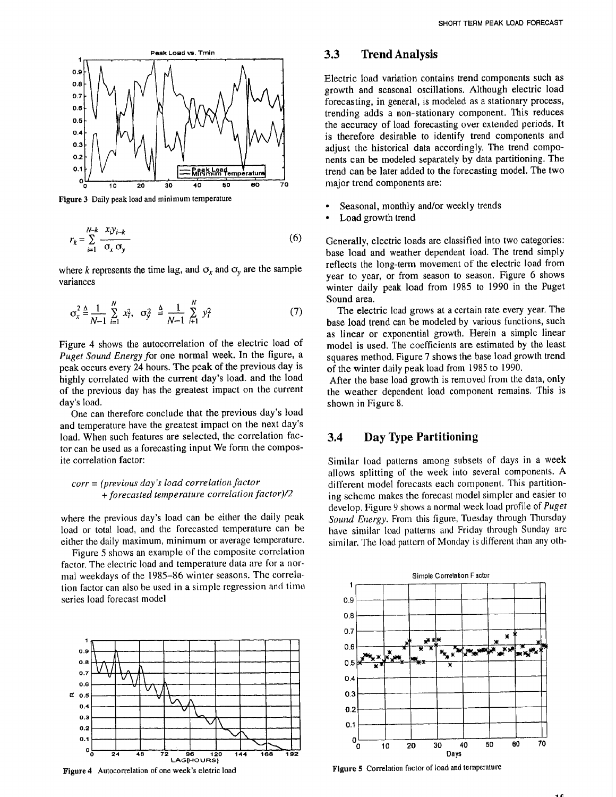

**Figure 3** Daily peak load and minimum temperature

$$
r_k = \sum_{i=1}^{N-k} \frac{x_i y_{i-k}}{\sigma_x \sigma_y} \tag{6}
$$

where k represents the time lag, and  $\sigma_x$  and  $\sigma_y$  are the sample variances

$$
\sigma_x^2 \triangleq \frac{1}{N-1} \sum_{i=1}^N x_i^2, \quad \sigma_y^2 \triangleq \frac{1}{N-1} \sum_{i=1}^N y_i^2 \tag{7}
$$

Figure 4 shows the autocorrelation of the electric load of *Puget Sound Energy* for one normal week. In the figure, a peak occurs every 24 hours. The peak of the previous day is highly correlated with the current day's load. and the load of the previous day has the greatest impact on the current day's load.

One can therefore conclude that the previous day's load and temperature have the greatest impact on the next day's load. When such features are selected, the correlation factor can be used as a forecasting input We form the composite correlation factor:

#### *corr* = *(previous day's load correlation factor +forecasted teniperature correlation factor)/;?*

where the previous day's load can be either the daily peak load or total load, and the forecasted temperature can be either the daily maximum, minimum or average lemperaturc.

Figure 5 shows an example of the composite correlation factor. The electric load and temperature data are for a normal weekdays of the 1985-86 winter seasons. The correlation factor can also be used in a simple regression and time series load forecast model



Figure 4 Autocorrelation of one week's eletric load

#### **3.3 Trend Analysis**

Electric load variation contains trend components such as growth and seasonal oscillations. Although electric load forecasting, in general, is modeled as a stationary process, trending adds a non-stationary component. This reduces the accuracy of load forecasting over extended periods. It is therefore desirable to identify trend components and adjust the historical data accordingly. The trend components can be modeled separately by data partitioning. The trend can be later added to the forecasting model. The two major trend components are:

- Seasonal, monthly and/or weekly trends
- Load growth trend

Generally, electric loads are classified into two categories: base load and weather dependent load. The trend simply reflects the long-term movement of the electric load from year to year, or from season to season. Figure 6 shows winter daily peak load from 1985 to 1990 in the Puget Sound area.

The electric load grows at a certain rate every year. The base load trend can be modeled by various functions, such as linear or exponential growth. Herein a simple linear model is used. The coefficients are estimated by the least squares method. Figure 7 shows the base load growth trend of the winter daily peak load from 1985 to 1990.

After the base load growth is removed from the data, only the weather dependent load component remains. This is shown in Figure 8.

# **3.4 Day Type Partitioning**

Similar load patterns among subsets of days in a week allows splitting of the week into several components. **A**  different model forecasts each component. This partitioning scheme makes the forecast model simpler and easier to develop. Figure 9 shows a normal week load profile of *Puget Sound Energy.* From this figure, Tuesday through Thursday have similar load patterns and Friday through Sunday are similar. The load pattern of Monday is different than any oth-



**Figure 5** Correlation factor of load and temperature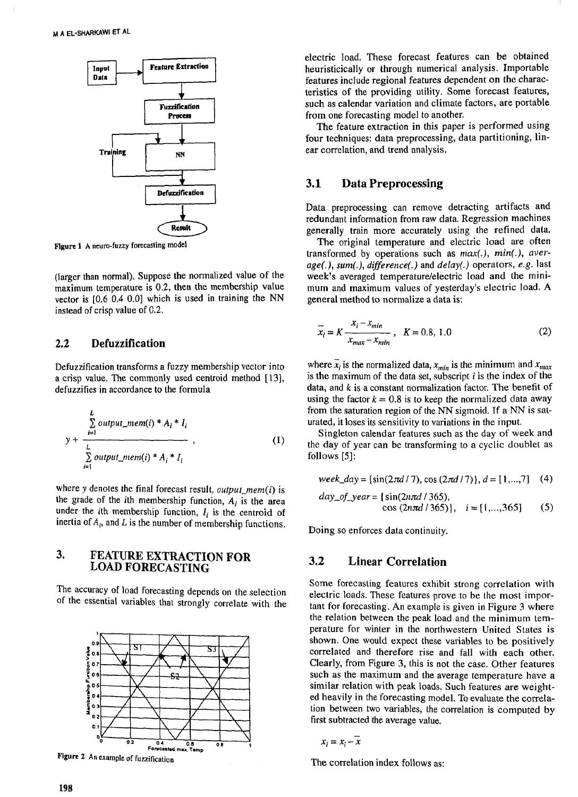

**Figure 1 A neuro-fuzzy forecasting model** 

(larger than normal). Suppose the normalized value of the maximum temperature is 0.2, then the membership vaIue vector is [0.6 0.4 0.0] which is used in training the NN instead of crisp value of G.2.

### **2.2 Defuzzification**

Defuzzification transforms a fuzzy membership vector into a crisp value. The commonly used centroid method [13], defuzzifies in accordance to the formula

$$
y + \frac{\sum_{i=1}^{L} output\_mem(i) * A_i * I_i}{\sum_{i=1}^{L} output\_mem(i) * A_i * I_i}
$$
 (1)

where y denotes the final forecast result, *output\_mem(i)* is the grade of the *i*th membership function,  $A_i$  is the area under the *i*th membership function,  $I_i$  is the centroid of inertia of  $A_i$ , and  $L$  is the number of membership functions.

# **3. FEATURE EXTRACTION FOR LOAD FORECASTING**

The accuracy of load forecasting depends on the selection of the essential variables that strongly correlate with the



**Figure 2** An example of fuzzification

electric load. These forecast features can be obtained heuristicically or through numerical analysis. Importable features include regional features dependent on the characteristics of the providing utility. Some forecast features, such as calendar variation and climate factors, are portable from one forecasting model to another.

The feature extraction in this paper is performed using four techniques: data preprocessing, data partitioning, linear correlation, and trend analysis.

#### **3.1 Data Preprocessing**

Data preprocessing can remove detracting artifacts and redundant information from raw data. Regression machines generally train more accurately using the refined data.

The original temperature and electric load are often transformed by operations such as  $max(.)$ ,  $min(.)$ , average(.), **sum(.),** difference(.) and delay(.) operators, **e.g.** last week's averaged temperature/electric load and the minimum and maximum values of yesterday's electric load. A general method to normalize a data is:

$$
\overline{x}_i = K \frac{x_i - x_{min}}{x_{max} - x_{min}} , K = 0.8, 1.0
$$
 (2)

where  $\vec{x}_i$  is the normalized data,  $x_{min}$  is the minimum and  $x_{max}$ is the maximum of the data set, subscript  $i$  is the index of the data, and k is a constant normalization factor. The benefit of using the factor  $k = 0.8$  is to keep the normalized data away from the saturation region of the NN sigmoid. If a NN is saturated, it loses its sensitivity to variations in the input.

Singleton calendar features such as the day of week and the day of year can be transforming to a cyclic doublet as follows **[5]:** 

$$
week\_day = \{ \sin(2\pi d / 7), \cos(2\pi d / 7) \}, d = [1,...,7] \quad (4)
$$

$$
day\_of\_year = \{sin(2n\pi d / 365),
$$
  
cos (2n\pi d / 365)\}, i = [1,...,365] (5)

Doing so enforces data continuity.

# **3.2 Linear Correlation**

Some forecasting features exhibit strong correlation with electric loads. These features prove to be the most important for forecasting. An example is given in Figure **3** where the relation between the peak load and the minimum temperature for winter in the northwestern United States is shown. One would expect these variables to **be** positively correlated and therefore rise and fall with each other. Clearly, from Figure **3,** this is not the case. Other features such as the maximum and the average temperature have a similar relation with peak loads. Such features are weighted heavily in the forecasting model. To evaluate the correlation between two variables, the correlation is computed by first subtracted the average value.

$$
x_i = x_i - \overline{x}
$$

The correlation index follows as: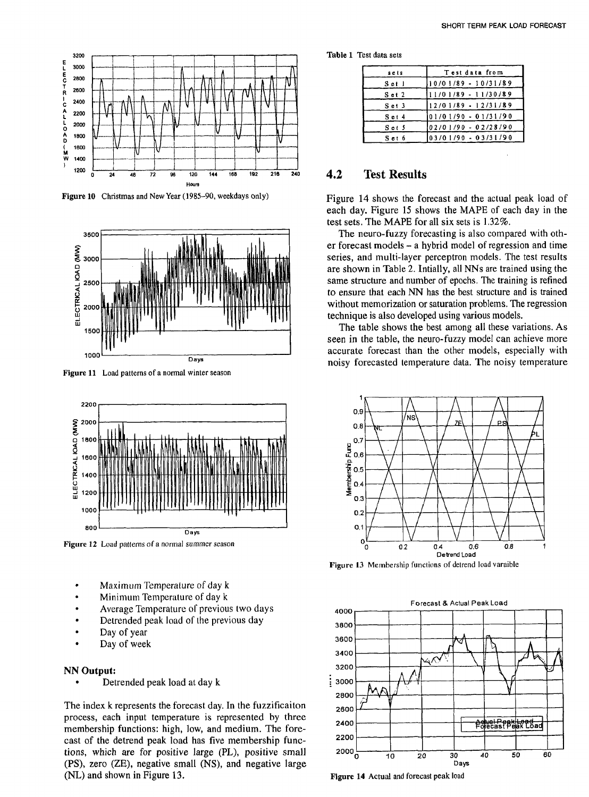

**Figure 10 Christmas and New Year (1985-90, weekdays only)** 



**Figure 11 Load patterns of a normal winter season** 



Figure 12 Load patterns of a normal summer season

- Maximum Temperature of day k
- Minimum Temperature of day k
- Average Temperature of previous two days
- Detrended peak load of the previous day
- Day of year
- Day of week

#### **NN Output:**

Detrended peak load at day k

The index k represents the forecast day. In the fuzzificaiton process, each input temperature is represented by three membership functions: high, low, and medium. The forecast of the detrend peak load has five membership functions, which are for positive large (PL), positive small (PS), zero (ZE), negative small (NS), and negative large (NL) and shown in Figure 13.

**Table 1 Test data sets** 

| sets       | Test data from         |  |  |  |
|------------|------------------------|--|--|--|
| Set 1      | $10/01/89 - 10/31/89$  |  |  |  |
| $S$ ct $2$ | $11/01/89 - 11/30/89$  |  |  |  |
| $S$ et $3$ | $12/01/89 - 12/31/89$  |  |  |  |
| Set 4      | 101/01/90 - 01/31/90   |  |  |  |
| Set 5      | $02/01/90 - 02/28/90$  |  |  |  |
| Set 6      | $[03/01/90 - 03/31/90$ |  |  |  |

## **4.2 Test Results**

Figure 14 shows the forecast and the actual peak load of each day. Figure 15 shows the MAPE of each day in the test sets. The MAPE for all six sets is 1.32%.

The neuro-fuzzy forecasting is also compared with other forecast models - a hybrid model of regression and time series, and multi-layer perceptron models. The test results are shown in Table 2. Intially, all NNs are trained using the same structure and number of epochs. The training is refined to ensure that each NN has the best slructure and is trained without memorization or saturation problems. The regression technique is also developed using various models.

The table shows the best among all these variations. As seen in the table, the neuro-fuzzy model can achieve more accurate forecast than the other models, especially with noisy forecasted temperature data. The noisy temperature



Figure 13 Membership functions of detrend load varaible



**Figure 14 Actual and forecast peak load**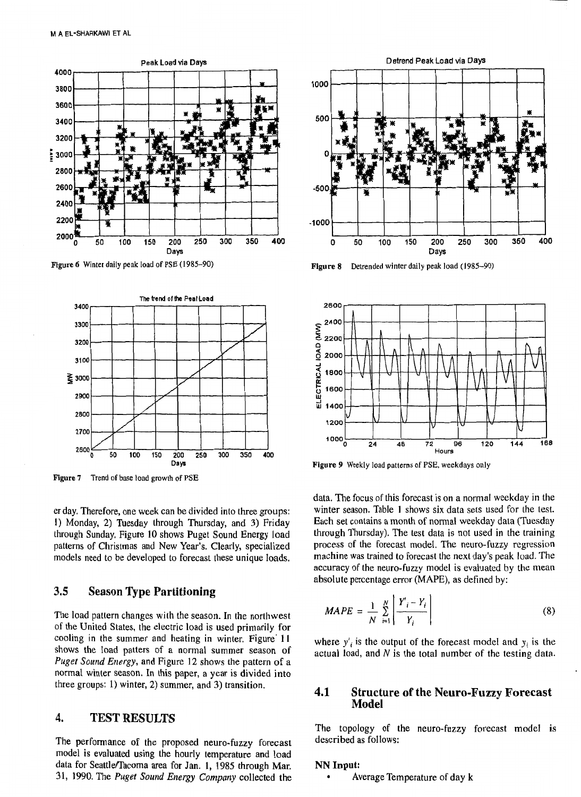

**Ftgure** *6* **Winter daily peak load of** PSE **(1985-90)** 



**Figure 7** Trend of base load growth of PSE

er day. Therefore, one week can be divided into three groups: **1)** Monday, 2) Tuesday through Thursday, and **3)** Friday through Sunday. Figure **10** shows Puget Sound Energy load patterns of Christmas and New Year's. Clearly, specialized models need to be developed to forecast these unique loads.

# **3.5 Season Type Partitioning**

The load pattern changes with the season. In the northwest of the United States, the electric load is used primarily for cooling in the summer and heating in winter. Figure 11 shows the Ioad patters of a normal summer season of Puget Sound Energy, and Figure 12 shows the pattern of a normal winter season. In this paper, a year is divided into three groups: 1) winter, 2) summer, and **3)** transition.

# **4. TEST RESULTS**

The performance of the proposed neuro-fuzzy forecast model is evaluated using the hourly temperature and load data for Seattle/Tacoma area for Jan. 1, 1985 through Mar. 31, 1990. The *Puget* Sound *Energy* Company collected the



**Figure 8 Detrended winter daily peak load (1985-90)** 



**Figure 9 Weekly load patterns of** PSE, **weekdays only** 

data. The focus of this forecast is on a normal weekday in the winter season. Table **1** shows six data sets used for the lest. Each set contains a month of normal weekday data (Tuesday through Thursday). The test data is not used in the training process of the forecast model. The neuro-fuzzy regression machine was trained to forecast the next day's peak load. The accuracy of the neuro-fuzzy model is evaluated by the mean absolute percentage error (MAPE), as defined by:

$$
MAPE = \frac{1}{N} \sum_{i=1}^{N} \left| \frac{Y_i - Y_i}{Y_i} \right| \tag{8}
$$

where  $y'_i$  is the output of the forecast model and  $y_i$  is the actual load, and  $N$  is the total number of the testing data.

#### **4.1 Structure of the Neuro-Fuzzy Forecast Model**

The topology of the neuro-fuzzy forecast model is described as follows:

#### **NN Input:**

Average Temperature of day k